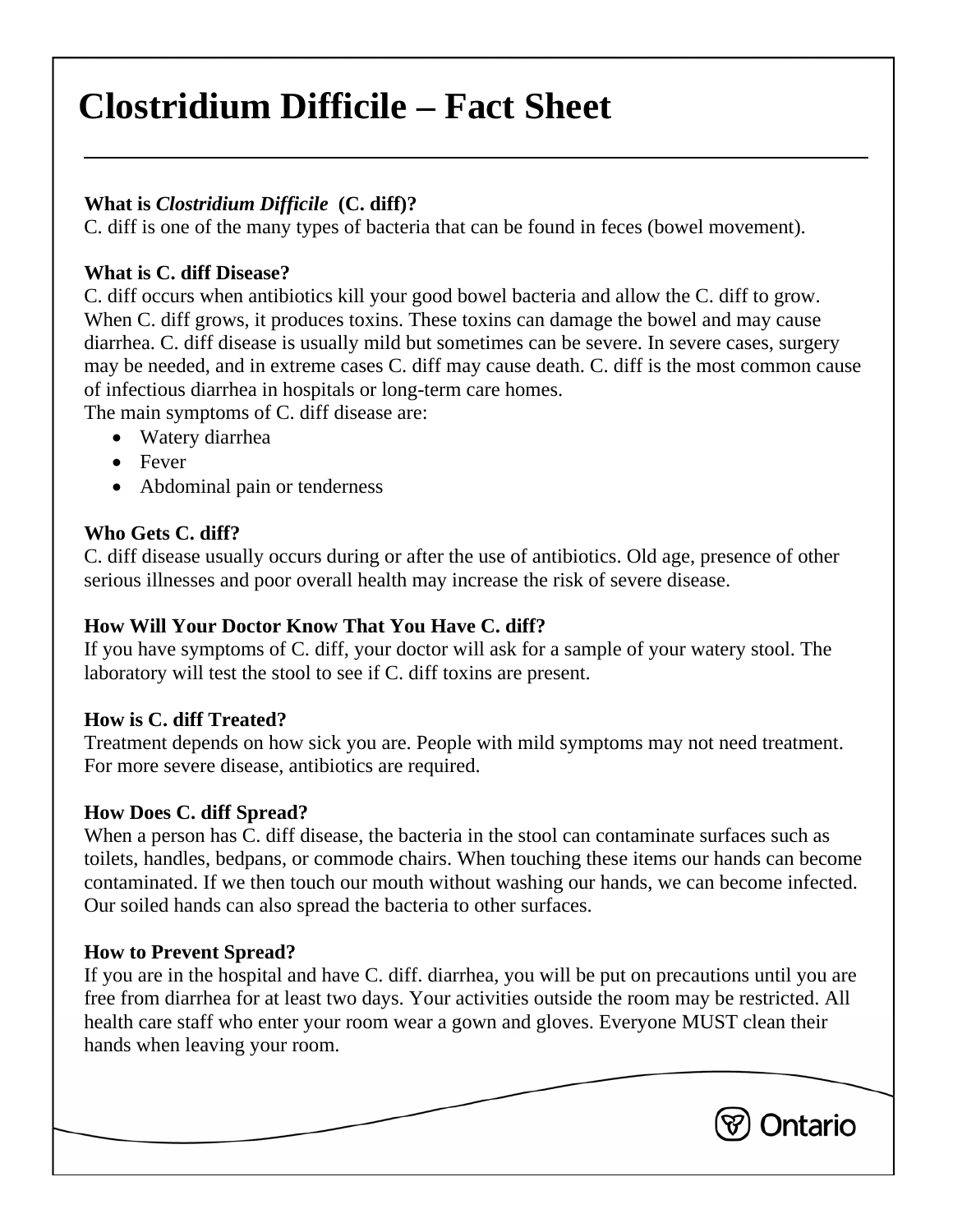# **Clostridium Difficile – Fact Sheet**

# **What is** *Clostridium Difficile* **(C. diff)?**

C. diff is one of the many types of bacteria that can be found in feces (bowel movement).

### **What is C. diff Disease?**

C. diff occurs when antibiotics kill your good bowel bacteria and allow the C. diff to grow. When C. diff grows, it produces toxins. These toxins can damage the bowel and may cause diarrhea. C. diff disease is usually mild but sometimes can be severe. In severe cases, surgery may be needed, and in extreme cases C. diff may cause death. C. diff is the most common cause of infectious diarrhea in hospitals or long-term care homes.

The main symptoms of C. diff disease are:

- Watery diarrhea
- Fever
- Abdominal pain or tenderness

# **Who Gets C. diff?**

C. diff disease usually occurs during or after the use of antibiotics. Old age, presence of other serious illnesses and poor overall health may increase the risk of severe disease.

## **How Will Your Doctor Know That You Have C. diff?**

If you have symptoms of C. diff, your doctor will ask for a sample of your watery stool. The laboratory will test the stool to see if C. diff toxins are present.

## **How is C. diff Treated?**

Treatment depends on how sick you are. People with mild symptoms may not need treatment. For more severe disease, antibiotics are required.

## **How Does C. diff Spread?**

When a person has C. diff disease, the bacteria in the stool can contaminate surfaces such as toilets, handles, bedpans, or commode chairs. When touching these items our hands can become contaminated. If we then touch our mouth without washing our hands, we can become infected. Our soiled hands can also spread the bacteria to other surfaces.

## **How to Prevent Spread?**

If you are in the hospital and have C. diff. diarrhea, you will be put on precautions until you are free from diarrhea for at least two days. Your activities outside the room may be restricted. All health care staff who enter your room wear a gown and gloves. Everyone MUST clean their hands when leaving your room.